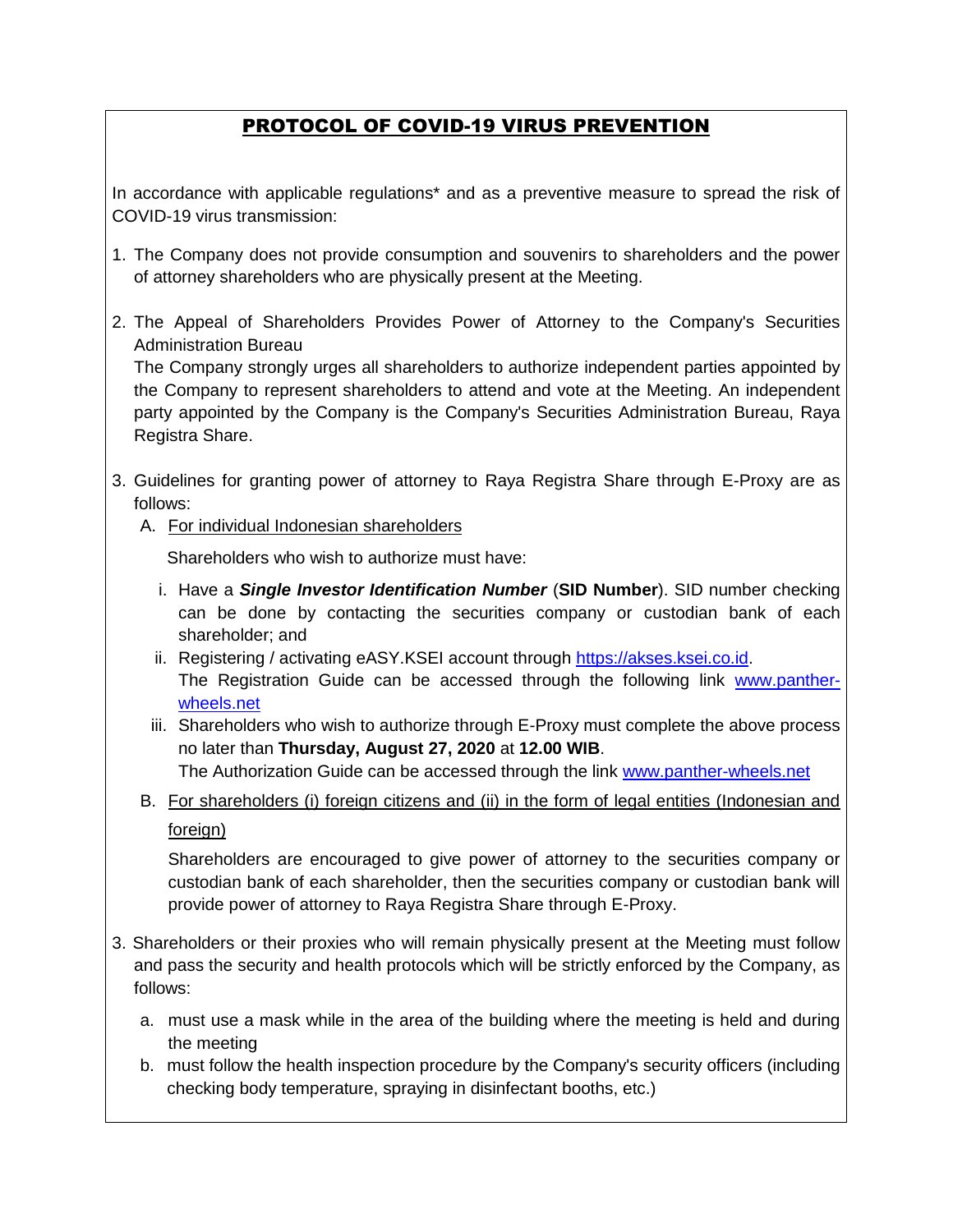## PROTOCOL OF COVID-19 VIRUS PREVENTION

In accordance with applicable regulations\* and as a preventive measure to spread the risk of COVID-19 virus transmission:

- 1. The Company does not provide consumption and souvenirs to shareholders and the power of attorney shareholders who are physically present at the Meeting.
- 2. The Appeal of Shareholders Provides Power of Attorney to the Company's Securities Administration Bureau

The Company strongly urges all shareholders to authorize independent parties appointed by the Company to represent shareholders to attend and vote at the Meeting. An independent party appointed by the Company is the Company's Securities Administration Bureau, Raya Registra Share.

- 3. Guidelines for granting power of attorney to Raya Registra Share through E-Proxy are as follows:
	- A. For individual Indonesian shareholders

Shareholders who wish to authorize must have:

- i. Have a *Single Investor Identification Number* (**SID Number**). SID number checking can be done by contacting the securities company or custodian bank of each shareholder; and
- ii. Registering / activating eASY.KSEI account through [https://akses.ksei.co.id.](https://akses.ksei.co.id/) The Registration Guide can be accessed through the following link [www.panther](http://www.panther-wheels.net/)[wheels.net](http://www.panther-wheels.net/)
- iii. Shareholders who wish to authorize through E-Proxy must complete the above process no later than **Thursday, August 27, 2020** at **12.00 WIB**. The Authorization Guide can be accessed through the link [www.panther-wheels.net](http://www.panther-wheels.net/)
- B. For shareholders (i) foreign citizens and (ii) in the form of legal entities (Indonesian and

## foreign)

Shareholders are encouraged to give power of attorney to the securities company or custodian bank of each shareholder, then the securities company or custodian bank will provide power of attorney to Raya Registra Share through E-Proxy.

- 3. Shareholders or their proxies who will remain physically present at the Meeting must follow and pass the security and health protocols which will be strictly enforced by the Company, as follows:
	- a. must use a mask while in the area of the building where the meeting is held and during the meeting
	- b. must follow the health inspection procedure by the Company's security officers (including checking body temperature, spraying in disinfectant booths, etc.)